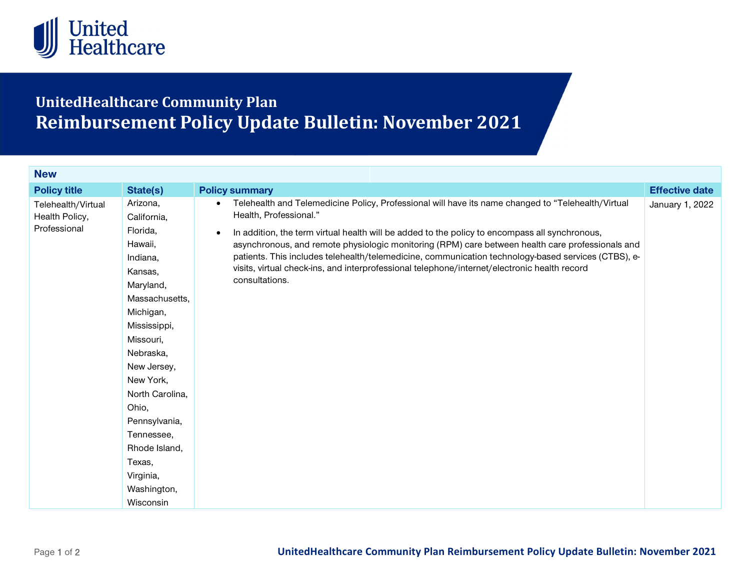

## UnitedHealthcare Community Plan Reimbursement Policy Update Bulletin: November 2021

| <b>Policy title</b>                                  | State(s)                                                                                                                                                                                                                                                                                                               | <b>Policy summary</b>                                                                                                                                                                                                                                                                                                                                                                                                                                                                                                                                                    | <b>Effective date</b> |
|------------------------------------------------------|------------------------------------------------------------------------------------------------------------------------------------------------------------------------------------------------------------------------------------------------------------------------------------------------------------------------|--------------------------------------------------------------------------------------------------------------------------------------------------------------------------------------------------------------------------------------------------------------------------------------------------------------------------------------------------------------------------------------------------------------------------------------------------------------------------------------------------------------------------------------------------------------------------|-----------------------|
| Telehealth/Virtual<br>Health Policy,<br>Professional | Arizona,<br>California,<br>Florida,<br>Hawaii,<br>Indiana,<br>Kansas,<br>Maryland,<br>Massachusetts,<br>Michigan,<br>Mississippi,<br>Missouri,<br>Nebraska,<br>New Jersey,<br>New York,<br>North Carolina,<br>Ohio,<br>Pennsylvania,<br>Tennessee,<br>Rhode Island,<br>Texas,<br>Virginia,<br>Washington,<br>Wisconsin | Telehealth and Telemedicine Policy, Professional will have its name changed to "Telehealth/Virtual<br>Health, Professional."<br>In addition, the term virtual health will be added to the policy to encompass all synchronous,<br>$\bullet$<br>asynchronous, and remote physiologic monitoring (RPM) care between health care professionals and<br>patients. This includes telehealth/telemedicine, communication technology-based services (CTBS), e-<br>visits, virtual check-ins, and interprofessional telephone/internet/electronic health record<br>consultations. | January 1, 2022       |